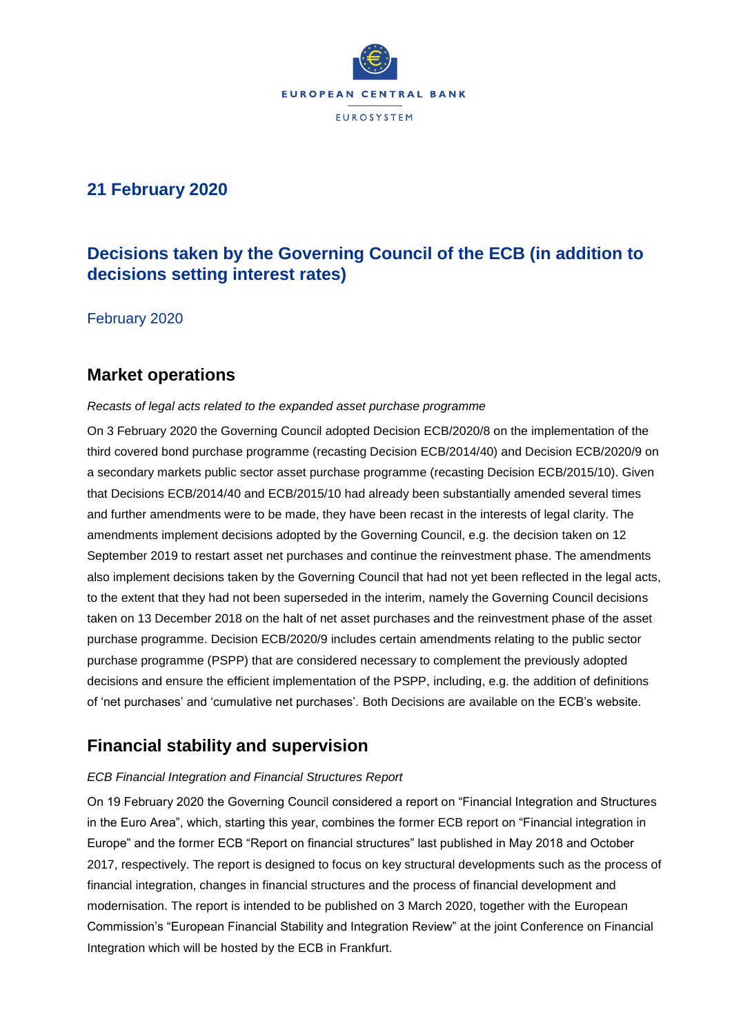

### **21 February 2020**

# **Decisions taken by the Governing Council of the ECB (in addition to decisions setting interest rates)**

February 2020

### **Market operations**

#### *Recasts of legal acts related to the expanded asset purchase programme*

On 3 February 2020 the Governing Council adopted Decision ECB/2020/8 on the implementation of the third covered bond purchase programme (recasting Decision ECB/2014/40) and Decision ECB/2020/9 on a secondary markets public sector asset purchase programme (recasting Decision ECB/2015/10). Given that Decisions ECB/2014/40 and ECB/2015/10 had already been substantially amended several times and further amendments were to be made, they have been recast in the interests of legal clarity. The amendments implement decisions adopted by the Governing Council, e.g. the decision taken on 12 September 2019 to restart asset net purchases and continue the reinvestment phase. The amendments also implement decisions taken by the Governing Council that had not yet been reflected in the legal acts, to the extent that they had not been superseded in the interim, namely the Governing Council decisions taken on 13 December 2018 on the halt of net asset purchases and the reinvestment phase of the asset purchase programme. Decision ECB/2020/9 includes certain amendments relating to the public sector purchase programme (PSPP) that are considered necessary to complement the previously adopted decisions and ensure the efficient implementation of the PSPP, including, e.g. the addition of definitions of 'net purchases' and 'cumulative net purchases'. Both Decisions are available on the ECB's website.

## **Financial stability and supervision**

#### *ECB Financial Integration and Financial Structures Report*

On 19 February 2020 the Governing Council considered a report on "Financial Integration and Structures in the Euro Area", which, starting this year, combines the former ECB report on "Financial integration in Europe" and the former ECB "Report on financial structures" last published in May 2018 and October 2017, respectively. The report is designed to focus on key structural developments such as the process of financial integration, changes in financial structures and the process of financial development and modernisation. The report is intended to be published on 3 March 2020, together with the European Commission's "European Financial Stability and Integration Review" at the joint Conference on Financial Integration which will be hosted by the ECB in Frankfurt.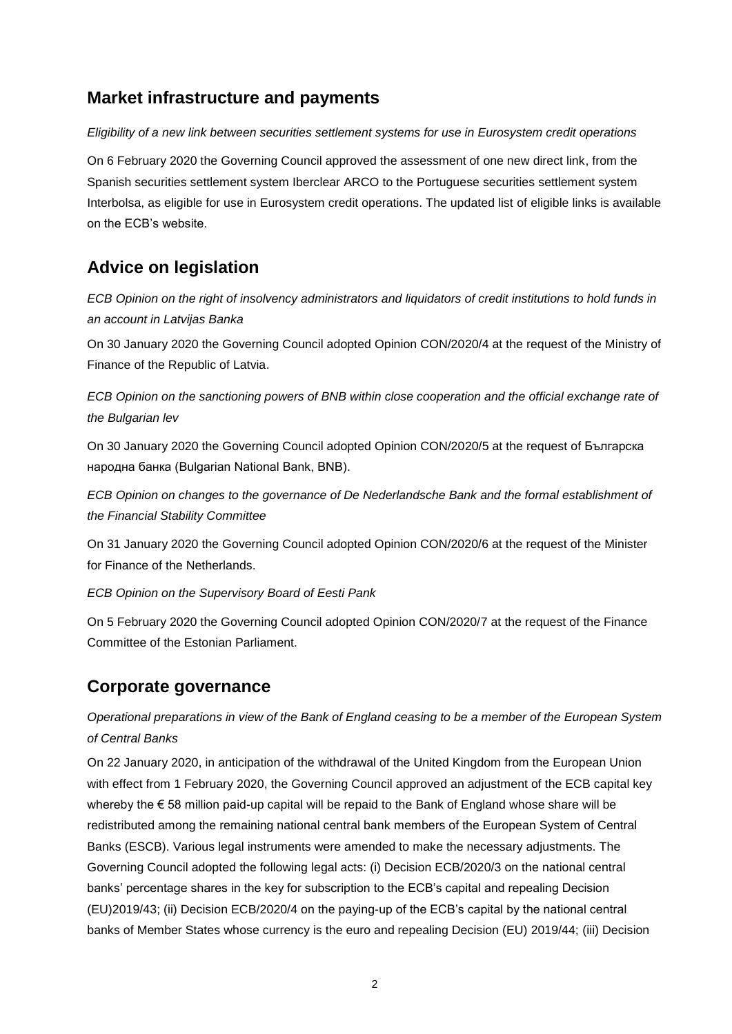## **Market infrastructure and payments**

*Eligibility of a new link between securities settlement systems for use in Eurosystem credit operations*

On 6 February 2020 the Governing Council approved the assessment of one new direct link, from the Spanish securities settlement system Iberclear ARCO to the Portuguese securities settlement system Interbolsa, as eligible for use in Eurosystem credit operations. The updated list of eligible links is available on the ECB's website.

# **Advice on legislation**

*ECB Opinion on the right of insolvency administrators and liquidators of credit institutions to hold funds in an account in Latvijas Banka*

On 30 January 2020 the Governing Council adopted Opinion CON/2020/4 at the request of the Ministry of Finance of the Republic of Latvia.

*ECB Opinion on the sanctioning powers of BNB within close cooperation and the official exchange rate of the Bulgarian lev*

On 30 January 2020 the Governing Council adopted Opinion CON/2020/5 at the request of Българска народна банка (Bulgarian National Bank, BNB).

*ECB Opinion on changes to the governance of De Nederlandsche Bank and the formal establishment of the Financial Stability Committee*

On 31 January 2020 the Governing Council adopted Opinion CON/2020/6 at the request of the Minister for Finance of the Netherlands.

*ECB Opinion on the Supervisory Board of Eesti Pank*

On 5 February 2020 the Governing Council adopted Opinion CON/2020/7 at the request of the Finance Committee of the Estonian Parliament.

## **Corporate governance**

*Operational preparations in view of the Bank of England ceasing to be a member of the European System of Central Banks*

On 22 January 2020, in anticipation of the withdrawal of the United Kingdom from the European Union with effect from 1 February 2020, the Governing Council approved an adjustment of the ECB capital key whereby the € 58 million paid-up capital will be repaid to the Bank of England whose share will be redistributed among the remaining national central bank members of the European System of Central Banks (ESCB). Various legal instruments were amended to make the necessary adjustments. The Governing Council adopted the following legal acts: (i) Decision ECB/2020/3 on the national central banks' percentage shares in the key for subscription to the ECB's capital and repealing Decision (EU)2019/43; (ii) Decision ECB/2020/4 on the paying-up of the ECB's capital by the national central banks of Member States whose currency is the euro and repealing Decision (EU) 2019/44; (iii) Decision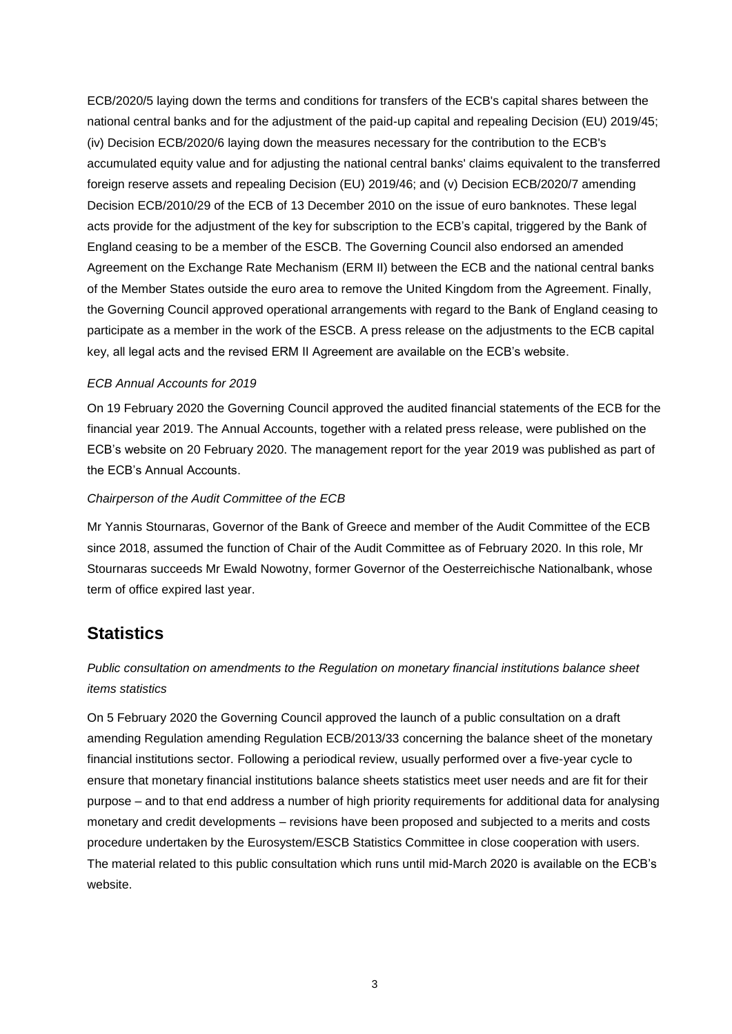ECB/2020/5 laying down the terms and conditions for transfers of the ECB's capital shares between the national central banks and for the adjustment of the paid-up capital and repealing Decision (EU) 2019/45; (iv) Decision ECB/2020/6 laying down the measures necessary for the contribution to the ECB's accumulated equity value and for adjusting the national central banks' claims equivalent to the transferred foreign reserve assets and repealing Decision (EU) 2019/46; and (v) Decision ECB/2020/7 amending Decision ECB/2010/29 of the ECB of 13 December 2010 on the issue of euro banknotes. These legal acts provide for the adjustment of the key for subscription to the ECB's capital, triggered by the Bank of England ceasing to be a member of the ESCB. The Governing Council also endorsed an amended Agreement on the Exchange Rate Mechanism (ERM II) between the ECB and the national central banks of the Member States outside the euro area to remove the United Kingdom from the Agreement. Finally, the Governing Council approved operational arrangements with regard to the Bank of England ceasing to participate as a member in the work of the ESCB. A press release on the adjustments to the ECB capital key, all legal acts and the revised ERM II Agreement are available on the ECB's website.

#### *ECB Annual Accounts for 2019*

On 19 February 2020 the Governing Council approved the audited financial statements of the ECB for the financial year 2019. The Annual Accounts, together with a related press release, were published on the ECB's website on 20 February 2020. The management report for the year 2019 was published as part of the ECB's Annual Accounts.

#### *Chairperson of the Audit Committee of the ECB*

Mr Yannis Stournaras, Governor of the Bank of Greece and member of the Audit Committee of the ECB since 2018, assumed the function of Chair of the Audit Committee as of February 2020. In this role, Mr Stournaras succeeds Mr Ewald Nowotny, former Governor of the Oesterreichische Nationalbank, whose term of office expired last year.

## **Statistics**

### *Public consultation on amendments to the Regulation on monetary financial institutions balance sheet items statistics*

On 5 February 2020 the Governing Council approved the launch of a public consultation on a draft amending Regulation amending Regulation ECB/2013/33 concerning the balance sheet of the monetary financial institutions sector. Following a periodical review, usually performed over a five-year cycle to ensure that monetary financial institutions balance sheets statistics meet user needs and are fit for their purpose – and to that end address a number of high priority requirements for additional data for analysing monetary and credit developments – revisions have been proposed and subjected to a merits and costs procedure undertaken by the Eurosystem/ESCB Statistics Committee in close cooperation with users. The material related to this public consultation which runs until mid-March 2020 is available on the ECB's website.